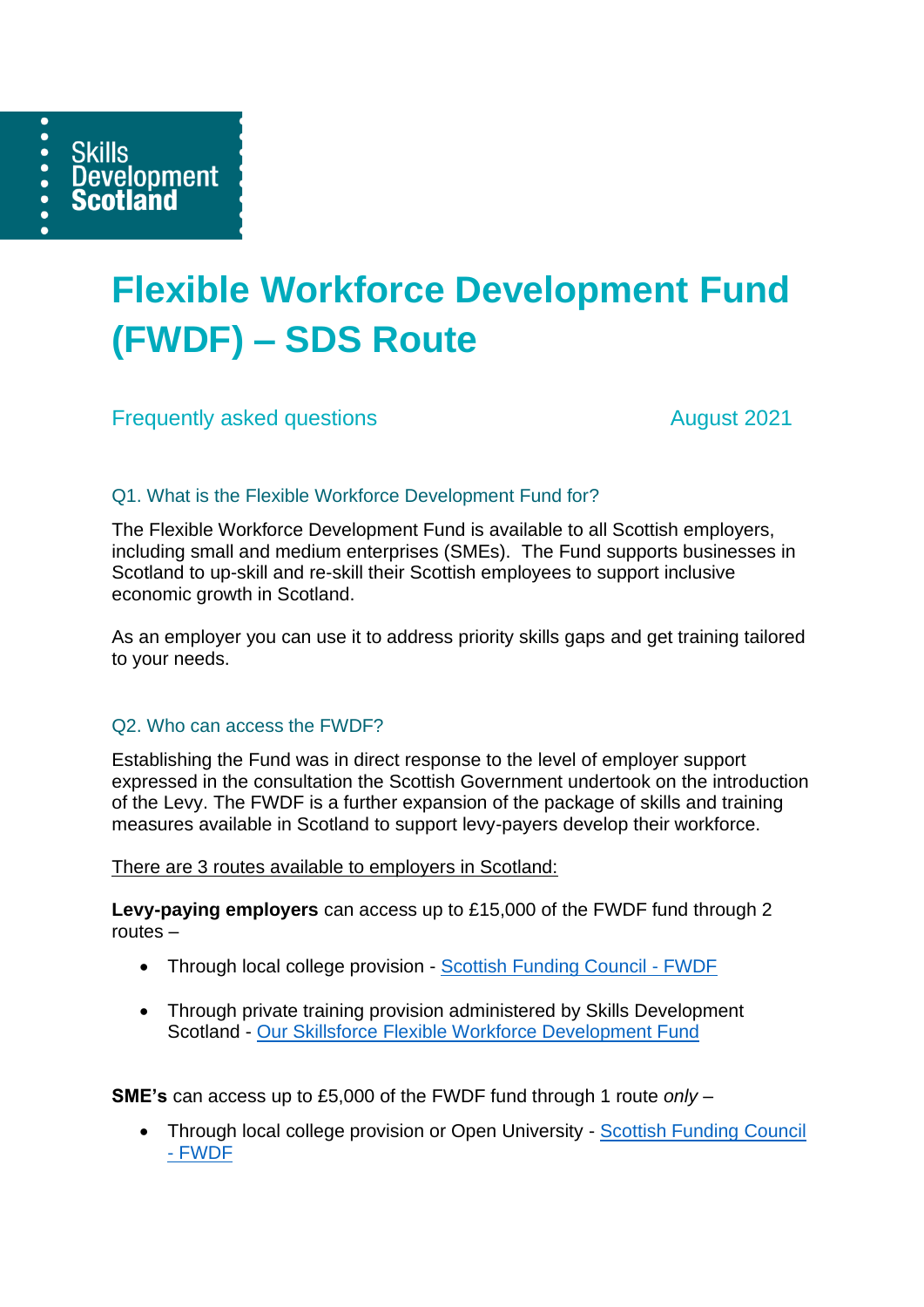

# **Flexible Workforce Development Fund (FWDF) – SDS Route**

**Frequently asked questions** August 2021

# Q1. What is the Flexible Workforce Development Fund for?

The Flexible Workforce Development Fund is available to all Scottish employers, including small and medium enterprises (SMEs). The Fund supports businesses in Scotland to up-skill and re-skill their Scottish employees to support inclusive economic growth in Scotland.

As an employer you can use it to address priority skills gaps and get training tailored to your needs.

# Q2. Who can access the FWDF?

Establishing the Fund was in direct response to the level of employer support expressed in the consultation the Scottish Government undertook on the introduction of the Levy. The FWDF is a further expansion of the package of skills and training measures available in Scotland to support levy-payers develop their workforce.

There are 3 routes available to employers in Scotland:

**Levy-paying employers** can access up to £15,000 of the FWDF fund through 2 routes –

- Through local college provision [Scottish Funding Council -](http://www.sfc.ac.uk/funding/college-funding/flexible-workforce-development/flexible-workforce-development-fund.aspx) FWDF
- Through private training provision administered by Skills Development Scotland - [Our Skillsforce Flexible Workforce Development Fund](https://www.ourskillsforce.co.uk/develop-your-workforce/flexible-workforce-development-fund/)

**SME's** can access up to £5,000 of the FWDF fund through 1 route *only* –

• Through local college provision or Open University - [Scottish Funding](http://www.sfc.ac.uk/funding/college-funding/flexible-workforce-development/flexible-workforce-development-fund.aspx) Council - [FWDF](http://www.sfc.ac.uk/funding/college-funding/flexible-workforce-development/flexible-workforce-development-fund.aspx)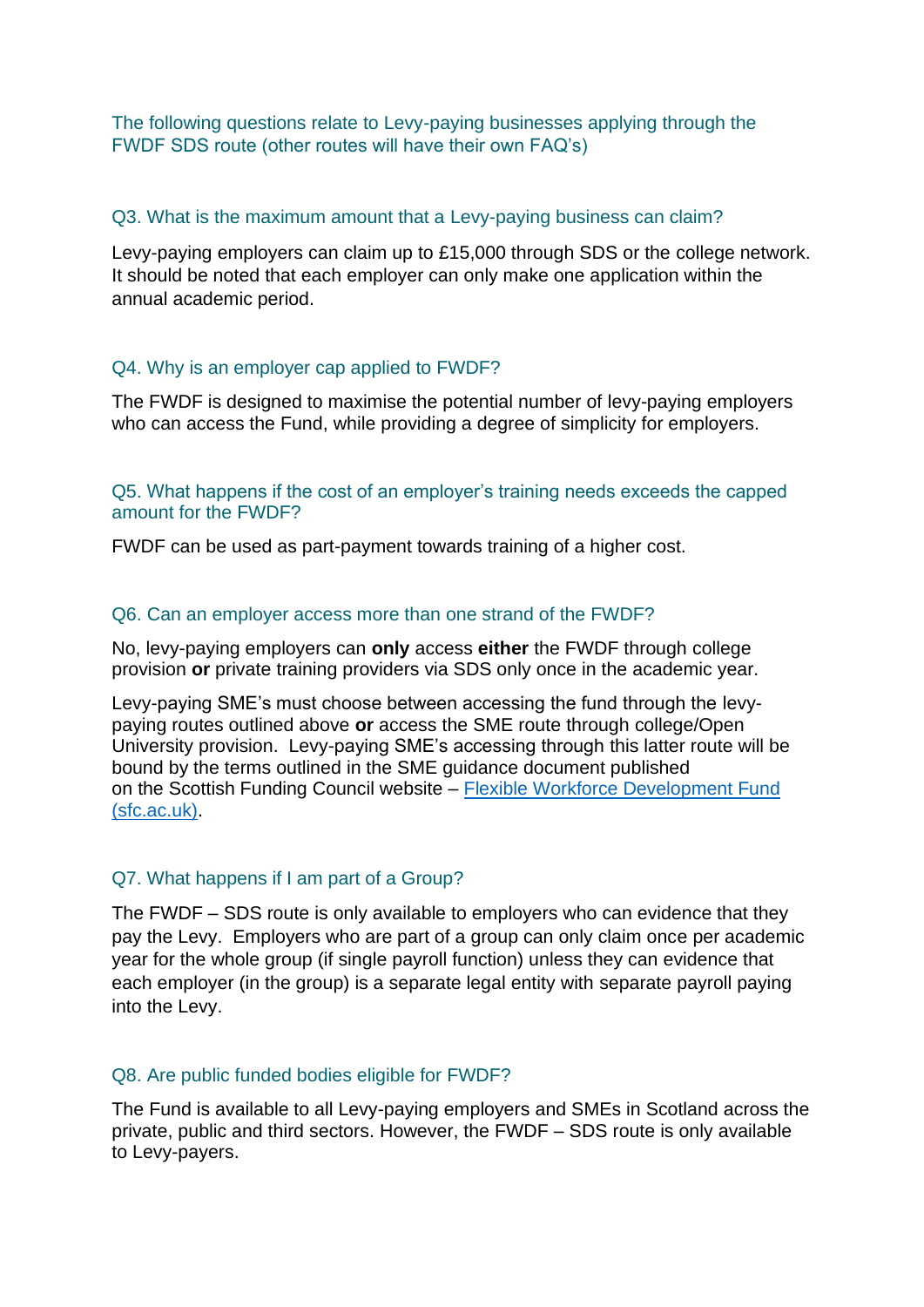The following questions relate to Levy-paying businesses applying through the FWDF SDS route (other routes will have their own FAQ's)

#### Q3. What is the maximum amount that a Levy-paying business can claim?

Levy-paying employers can claim up to £15,000 through SDS or the college network. It should be noted that each employer can only make one application within the annual academic period.

#### Q4. Why is an employer cap applied to FWDF?

The FWDF is designed to maximise the potential number of levy-paying employers who can access the Fund, while providing a degree of simplicity for employers.

Q5. What happens if the cost of an employer's training needs exceeds the capped amount for the FWDF?

FWDF can be used as part-payment towards training of a higher cost.

#### Q6. Can an employer access more than one strand of the FWDF?

No, levy-paying employers can **only** access **either** the FWDF through college provision **or** private training providers via SDS only once in the academic year.

Levy-paying SME's must choose between accessing the fund through the levypaying routes outlined above **or** access the SME route through college/Open University provision. Levy-paying SME's accessing through this latter route will be bound by the terms outlined in the SME guidance document published on the Scottish Funding Council website – [Flexible Workforce Development Fund](http://www.sfc.ac.uk/funding/college-funding/flexible-workforce-development/flexible-workforce-development-fund.aspx)  [\(sfc.ac.uk\).](http://www.sfc.ac.uk/funding/college-funding/flexible-workforce-development/flexible-workforce-development-fund.aspx)

#### Q7. What happens if I am part of a Group?

The FWDF – SDS route is only available to employers who can evidence that they pay the Levy. Employers who are part of a group can only claim once per academic year for the whole group (if single payroll function) unless they can evidence that each employer (in the group) is a separate legal entity with separate payroll paying into the Levy.

#### Q8. Are public funded bodies eligible for FWDF?

The Fund is available to all Levy-paying employers and SMEs in Scotland across the private, public and third sectors. However, the FWDF – SDS route is only available to Levy-payers.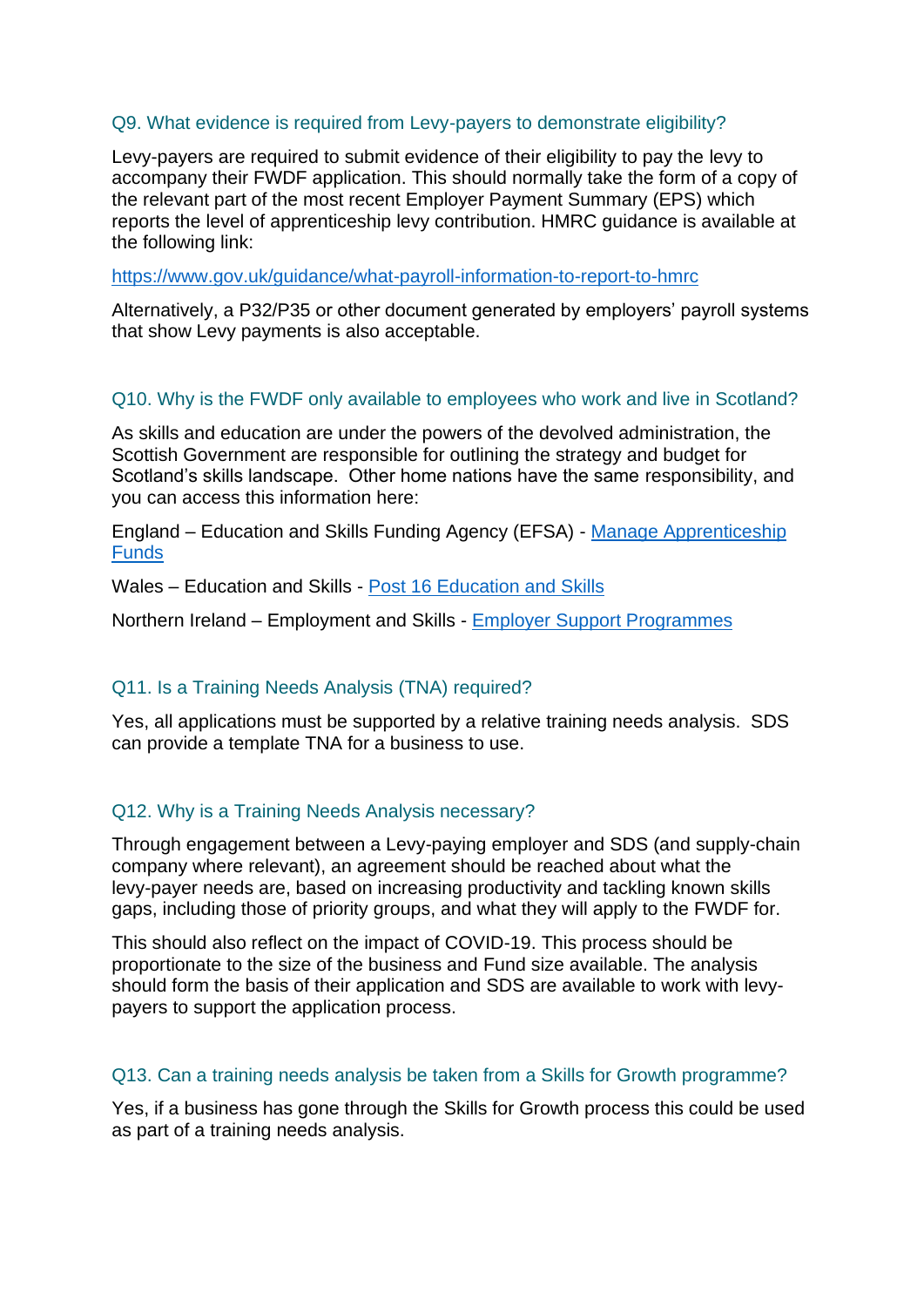#### Q9. What evidence is required from Levy-payers to demonstrate eligibility?

Levy-payers are required to submit evidence of their eligibility to pay the levy to accompany their FWDF application. This should normally take the form of a copy of the relevant part of the most recent Employer Payment Summary (EPS) which reports the level of apprenticeship levy contribution. HMRC guidance is available at the following link:

<https://www.gov.uk/guidance/what-payroll-information-to-report-to-hmrc>

Alternatively, a P32/P35 or other document generated by employers' payroll systems that show Levy payments is also acceptable.

#### Q10. Why is the FWDF only available to employees who work and live in Scotland?

As skills and education are under the powers of the devolved administration, the Scottish Government are responsible for outlining the strategy and budget for Scotland's skills landscape. Other home nations have the same responsibility, and you can access this information here:

England – Education and Skills Funding Agency (EFSA) - [Manage Apprenticeship](https://www.gov.uk/guidance/manage-apprenticeship-funds)  [Funds](https://www.gov.uk/guidance/manage-apprenticeship-funds)

Wales – Education and Skills - [Post 16 Education and Skills](https://gov.wales/post-16-education-and-skills)

Northern Ireland – Employment and Skills - [Employer Support Programmes](https://www.nibusinessinfo.co.uk/content/employer-support-programmes)

#### Q11. Is a Training Needs Analysis (TNA) required?

Yes, all applications must be supported by a relative training needs analysis. SDS can provide a template TNA for a business to use.

#### Q12. Why is a Training Needs Analysis necessary?

Through engagement between a Levy-paying employer and SDS (and supply-chain company where relevant), an agreement should be reached about what the levy-payer needs are, based on increasing productivity and tackling known skills gaps, including those of priority groups, and what they will apply to the FWDF for.

This should also reflect on the impact of COVID-19. This process should be proportionate to the size of the business and Fund size available. The analysis should form the basis of their application and SDS are available to work with levypayers to support the application process.

#### Q13. Can a training needs analysis be taken from a Skills for Growth programme?

Yes, if a business has gone through the Skills for Growth process this could be used as part of a training needs analysis.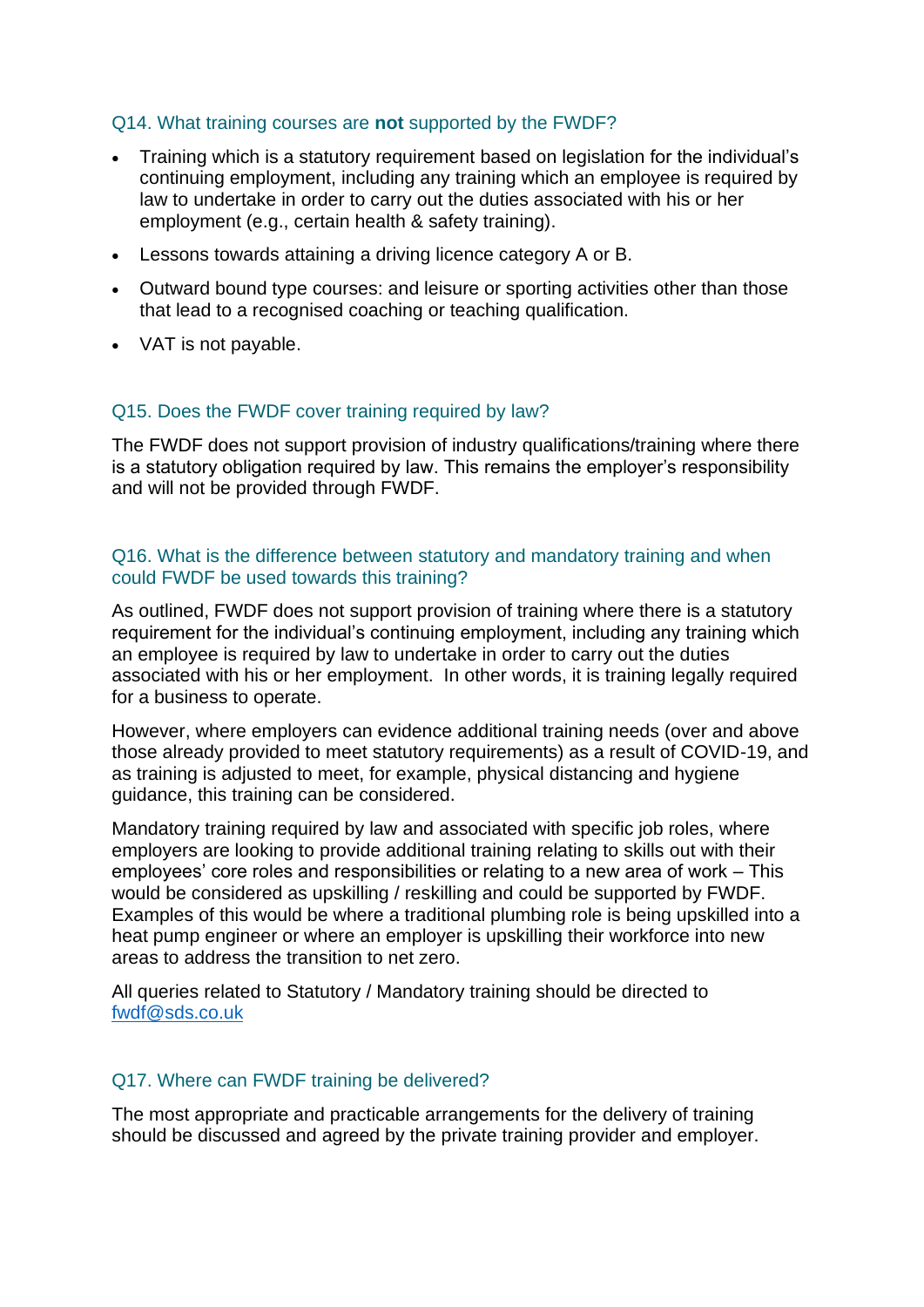#### Q14. What training courses are **not** supported by the FWDF?

- Training which is a statutory requirement based on legislation for the individual's continuing employment, including any training which an employee is required by law to undertake in order to carry out the duties associated with his or her employment (e.g., certain health & safety training).
- Lessons towards attaining a driving licence category A or B.
- Outward bound type courses: and leisure or sporting activities other than those that lead to a recognised coaching or teaching qualification.
- VAT is not payable.

#### Q15. Does the FWDF cover training required by law?

The FWDF does not support provision of industry qualifications/training where there is a statutory obligation required by law. This remains the employer's responsibility and will not be provided through FWDF.

#### Q16. What is the difference between statutory and mandatory training and when could FWDF be used towards this training?

As outlined, FWDF does not support provision of training where there is a statutory requirement for the individual's continuing employment, including any training which an employee is required by law to undertake in order to carry out the duties associated with his or her employment. In other words, it is training legally required for a business to operate.

However, where employers can evidence additional training needs (over and above those already provided to meet statutory requirements) as a result of COVID-19, and as training is adjusted to meet, for example, physical distancing and hygiene guidance, this training can be considered.

Mandatory training required by law and associated with specific job roles, where employers are looking to provide additional training relating to skills out with their employees' core roles and responsibilities or relating to a new area of work – This would be considered as upskilling / reskilling and could be supported by FWDF. Examples of this would be where a traditional plumbing role is being upskilled into a heat pump engineer or where an employer is upskilling their workforce into new areas to address the transition to net zero.

All queries related to Statutory / Mandatory training should be directed to [fwdf@sds.co.uk](mailto:fwdf@sds.co.uk)

#### Q17. Where can FWDF training be delivered?

The most appropriate and practicable arrangements for the delivery of training should be discussed and agreed by the private training provider and employer.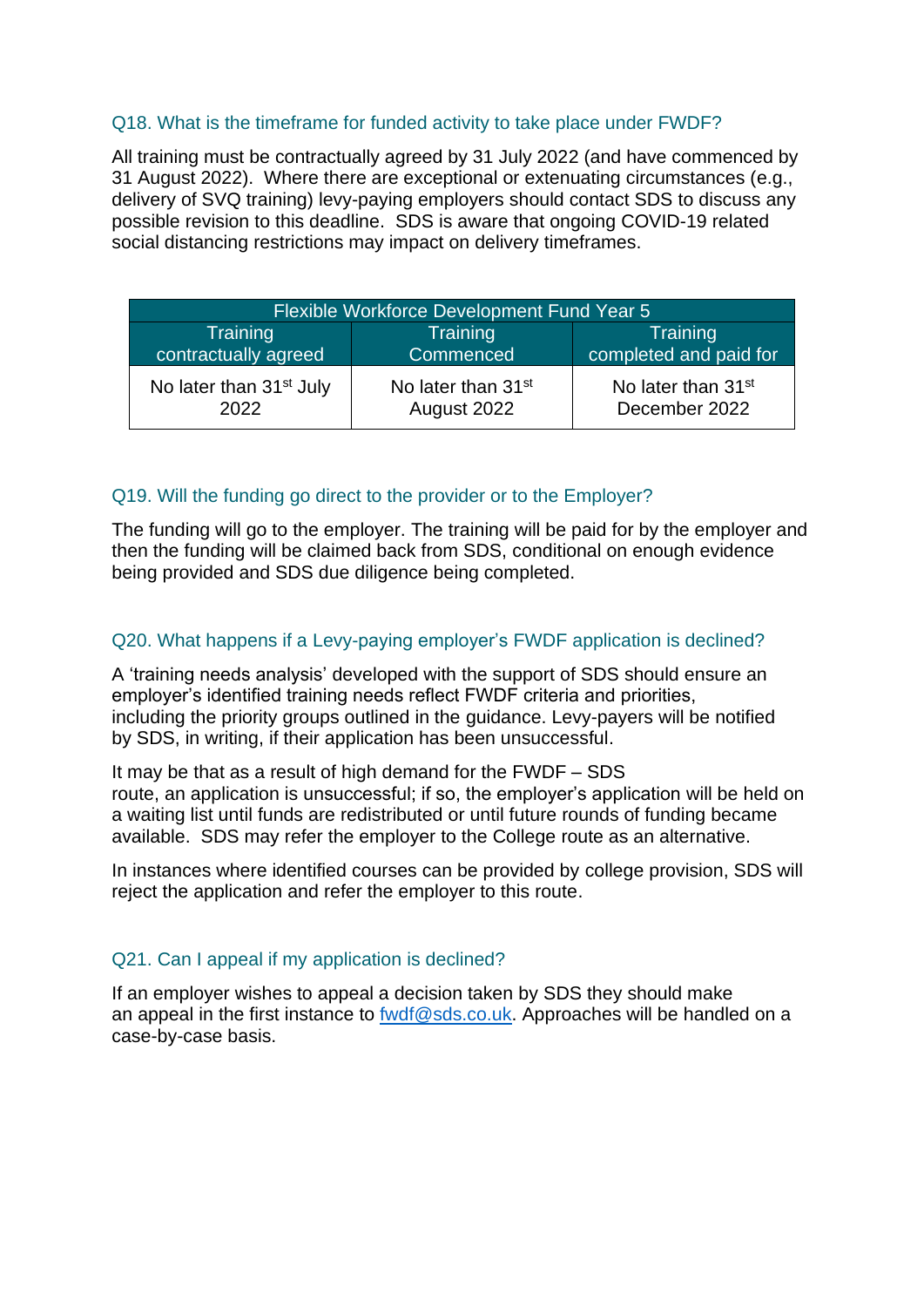# Q18. What is the timeframe for funded activity to take place under FWDF?

All training must be contractually agreed by 31 July 2022 (and have commenced by 31 August 2022). Where there are exceptional or extenuating circumstances (e.g., delivery of SVQ training) levy-paying employers should contact SDS to discuss any possible revision to this deadline. SDS is aware that ongoing COVID-19 related social distancing restrictions may impact on delivery timeframes.

| Flexible Workforce Development Fund Year 5 |                                |                                |
|--------------------------------------------|--------------------------------|--------------------------------|
| Training                                   | <b>Training</b>                | <b>Training</b>                |
| contractually agreed                       | Commenced                      | completed and paid for         |
| No later than 31 <sup>st</sup> July        | No later than 31 <sup>st</sup> | No later than 31 <sup>st</sup> |
| 2022                                       | August 2022                    | December 2022                  |

# Q19. Will the funding go direct to the provider or to the Employer?

The funding will go to the employer. The training will be paid for by the employer and then the funding will be claimed back from SDS, conditional on enough evidence being provided and SDS due diligence being completed.

# Q20. What happens if a Levy-paying employer's FWDF application is declined?

A 'training needs analysis' developed with the support of SDS should ensure an employer's identified training needs reflect FWDF criteria and priorities, including the priority groups outlined in the guidance. Levy-payers will be notified by SDS, in writing, if their application has been unsuccessful.

It may be that as a result of high demand for the FWDF – SDS route, an application is unsuccessful; if so, the employer's application will be held on a waiting list until funds are redistributed or until future rounds of funding became available. SDS may refer the employer to the College route as an alternative.

In instances where identified courses can be provided by college provision, SDS will reject the application and refer the employer to this route.

#### Q21. Can I appeal if my application is declined?

If an employer wishes to appeal a decision taken by SDS they should make an appeal in the first instance to [fwdf@sds.co.uk.](mailto:fwdf@sds.co.uk) Approaches will be handled on a case-by-case basis.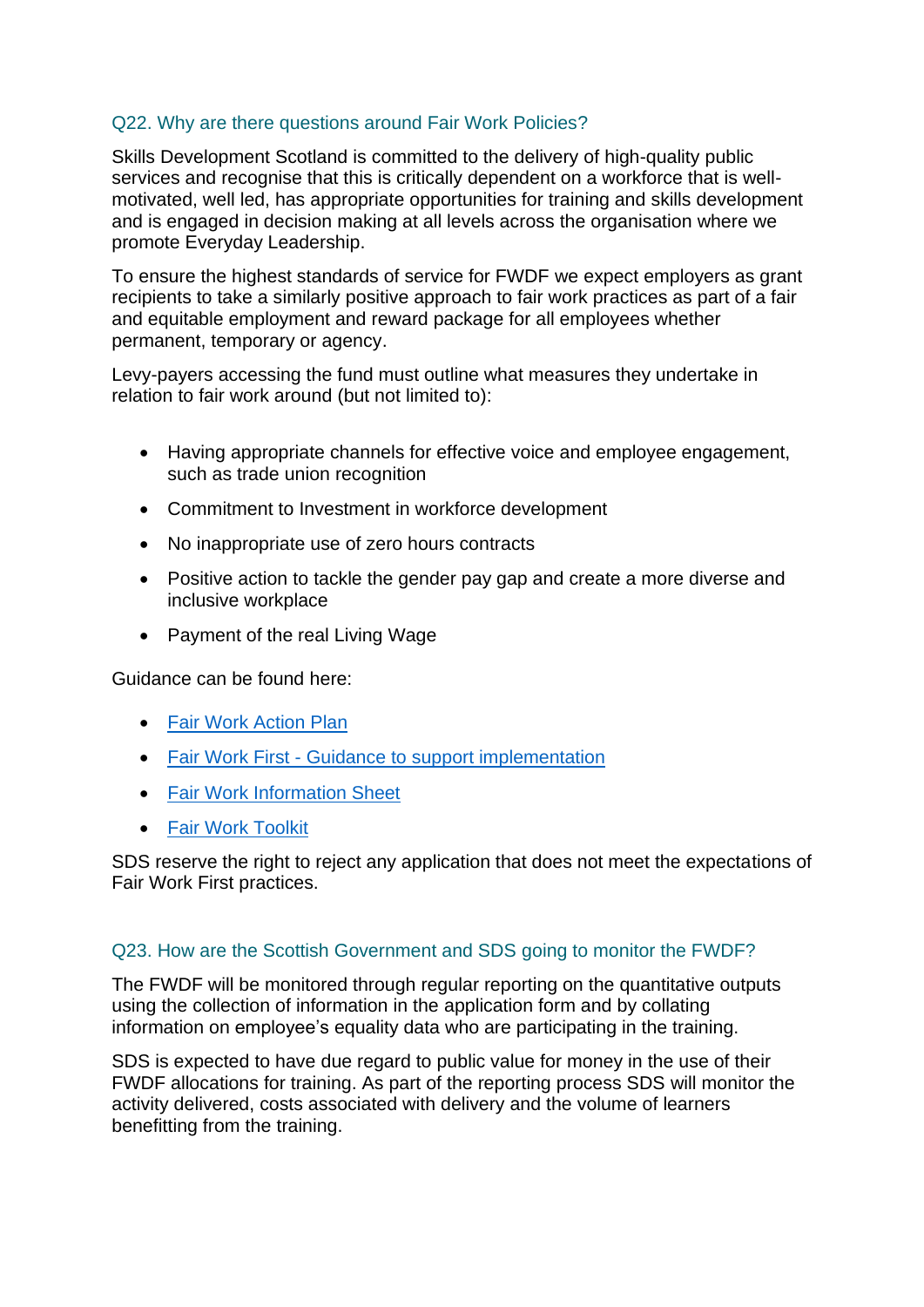# Q22. Why are there questions around Fair Work Policies?

Skills Development Scotland is committed to the delivery of high-quality public services and recognise that this is critically dependent on a workforce that is wellmotivated, well led, has appropriate opportunities for training and skills development and is engaged in decision making at all levels across the organisation where we promote Everyday Leadership.

To ensure the highest standards of service for FWDF we expect employers as grant recipients to take a similarly positive approach to fair work practices as part of a fair and equitable employment and reward package for all employees whether permanent, temporary or agency.

Levy-payers accessing the fund must outline what measures they undertake in relation to fair work around (but not limited to):

- Having appropriate channels for effective voice and employee engagement, such as trade union recognition
- Commitment to Investment in workforce development
- No inappropriate use of zero hours contracts
- Positive action to tackle the gender pay gap and create a more diverse and inclusive workplace
- Payment of the real Living Wage

Guidance can be found here:

- [Fair Work Action Plan](https://www.gov.scot/binaries/content/documents/govscot/publications/strategy-plan/2021/02/fair-work-action-plan/documents/fair-work-action-plan/fair-work-action-plan/govscot%3Adocument/fair-work-action-plan.pdf)
- Fair Work First [Guidance to support implementation](https://www.gov.scot/publications/fair-work-first-guidance-support-implementation/pages/1/)
- [Fair Work Information Sheet](https://www.gov.scot/binaries/content/documents/govscot/publications/advice-and-guidance/2018/07/fair-work-practices-in-procurement-toolkit/documents/information-sheets/5d705beb-3c35-4d75-88c7-875e59a3aafa/5d705beb-3c35-4d75-88c7-875e59a3aafa/govscot%3Adocument?inline=true)
- [Fair Work Toolkit](https://fairworktool.scot/)

SDS reserve the right to reject any application that does not meet the expectations of Fair Work First practices.

#### Q23. How are the Scottish Government and SDS going to monitor the FWDF?

The FWDF will be monitored through regular reporting on the quantitative outputs using the collection of information in the application form and by collating information on employee's equality data who are participating in the training.

SDS is expected to have due regard to public value for money in the use of their FWDF allocations for training. As part of the reporting process SDS will monitor the activity delivered, costs associated with delivery and the volume of learners benefitting from the training.